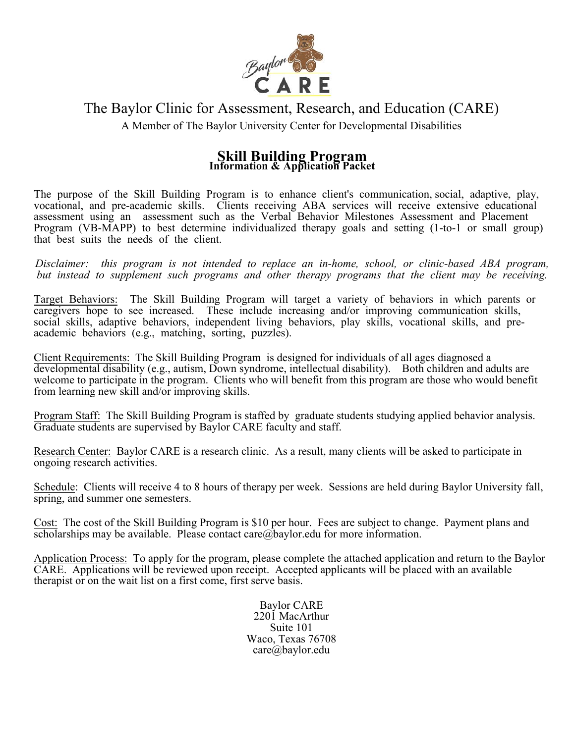

# The Baylor Clinic for Assessment, Research, and Education (CARE)

A Member of The Baylor University Center for Developmental Disabilities

## **Skill Building Program Information & Application Packet**

The purpose of the Skill Building Program is to enhance client's communication, social, adaptive, play, vocational, and pre-academic skills. Clients receiving ABA services will receive extensive educational assessment using an assessment such as the Verbal Behavior Milestones Assessment and Placement Program (VB-MAPP) to best determine individualized therapy goals and setting (1-to-1 or small group) that best suits the needs of the client.

*Disclaimer: this program is not intended to replace an in-home, school, or clinic-based ABA program, but instead to supplement such programs and other therapy programs that the client may be receiving.* 

Target Behaviors: The Skill Building Program will target a variety of behaviors in which parents or caregivers hope to see increased. These include increasing and/or improving communication skills, social skills, adaptive behaviors, independent living behaviors, play skills, vocational skills, and preacademic behaviors (e.g., matching, sorting, puzzles).

Client Requirements: The Skill Building Program is designed for individuals of all ages diagnosed a developmental disability (e.g., autism, Down syndrome, intellectual disability). Both children and adults are welcome to participate in the program. Clients who will benefit from this program are those who would benefit from learning new skill and/or improving skills.

Program Staff: The Skill Building Program is staffed by graduate students studying applied behavior analysis. Graduate students are supervised by Baylor CARE faculty and staff.

Research Center: Baylor CARE is a research clinic. As a result, many clients will be asked to participate in ongoing research activities.

Schedule: Clients will receive 4 to 8 hours of therapy per week. Sessions are held during Baylor University fall, spring, and summer one semesters.

Cost: The cost of the Skill Building Program is \$10 per hour. Fees are subject to change. Payment plans and scholarships may be available. Please contact care@baylor.edu for more information.

Application Process: To apply for the program, please complete the attached application and return to the Baylor CARE. Applications will be reviewed upon receipt. Accepted applicants will be placed with an available therapist or on the wait list on a first come, first serve basis.

> Baylor CARE 2201 MacArthur Suite 101 Waco, Texas 76708 care@baylor.edu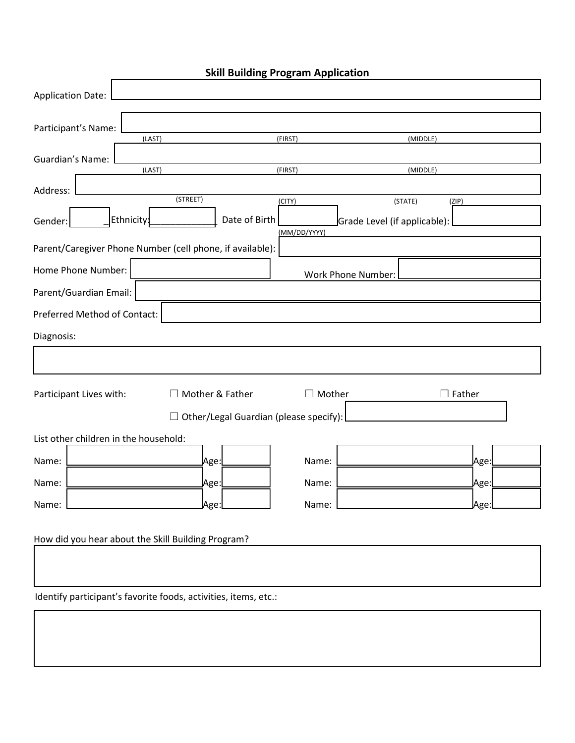| <b>Skill Building Program Application</b> |                                                                 |                        |                                         |               |  |  |
|-------------------------------------------|-----------------------------------------------------------------|------------------------|-----------------------------------------|---------------|--|--|
| <b>Application Date:</b>                  |                                                                 |                        |                                         |               |  |  |
| Participant's Name:                       |                                                                 |                        |                                         |               |  |  |
|                                           | (LAST)                                                          | (FIRST)                |                                         | (MIDDLE)      |  |  |
| Guardian's Name:                          | (LAST)                                                          | (FIRST)                |                                         | (MIDDLE)      |  |  |
| Address:                                  | (STREET)                                                        |                        |                                         |               |  |  |
| Gender:                                   | Date of Birth<br>Ethnicity:                                     | (CITY)<br>(MM/DD/YYYY) | (STATE)<br>Grade Level (if applicable): | (ZIP)         |  |  |
|                                           | Parent/Caregiver Phone Number (cell phone, if available):       |                        |                                         |               |  |  |
| Home Phone Number:                        |                                                                 |                        | Work Phone Number:                      |               |  |  |
| Parent/Guardian Email:                    |                                                                 |                        |                                         |               |  |  |
| Preferred Method of Contact:              |                                                                 |                        |                                         |               |  |  |
| Diagnosis:                                |                                                                 |                        |                                         |               |  |  |
|                                           |                                                                 |                        |                                         |               |  |  |
| Participant Lives with:                   | □ Mother & Father                                               | $\Box$ Mother          |                                         | $\Box$ Father |  |  |
|                                           | $\Box$ Other/Legal Guardian (please specify):                   |                        |                                         |               |  |  |
| List other children in the household:     |                                                                 |                        |                                         |               |  |  |
| Name:                                     | Age:                                                            | Name:                  |                                         | Age:          |  |  |
| Name:                                     | Age:                                                            | Name:                  |                                         | Age:          |  |  |
| Name:                                     | Age:                                                            | Name:                  |                                         | <u>l</u> Age  |  |  |
|                                           | How did you hear about the Skill Building Program?              |                        |                                         |               |  |  |
|                                           |                                                                 |                        |                                         |               |  |  |
|                                           |                                                                 |                        |                                         |               |  |  |
|                                           | Identify participant's favorite foods, activities, items, etc.: |                        |                                         |               |  |  |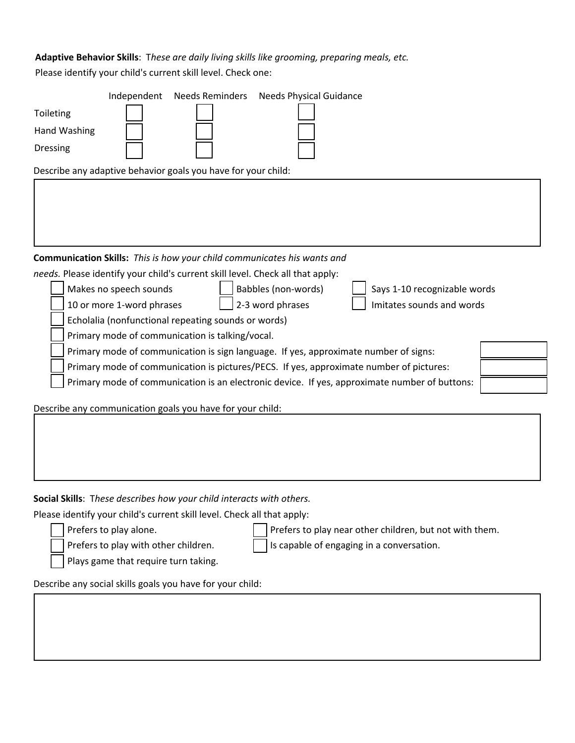# **Adaptive Behavior Skills**: T*hese are daily living skills like grooming, preparing meals, etc.* Please identify your child's current skill level. Check one:

| Independent<br><b>Needs Reminders</b><br><b>Needs Physical Guidance</b>                       |
|-----------------------------------------------------------------------------------------------|
| Toileting                                                                                     |
| Hand Washing                                                                                  |
| <b>Dressing</b>                                                                               |
| Describe any adaptive behavior goals you have for your child:                                 |
|                                                                                               |
| Communication Skills: This is how your child communicates his wants and                       |
| needs. Please identify your child's current skill level. Check all that apply:                |
| Babbles (non-words)<br>Makes no speech sounds<br>Says 1-10 recognizable words                 |
| 2-3 word phrases<br>Imitates sounds and words<br>10 or more 1-word phrases                    |
| Echolalia (nonfunctional repeating sounds or words)                                           |
| Primary mode of communication is talking/vocal.                                               |
| Primary mode of communication is sign language. If yes, approximate number of signs:          |
| Primary mode of communication is pictures/PECS. If yes, approximate number of pictures:       |
| Primary mode of communication is an electronic device. If yes, approximate number of buttons: |
|                                                                                               |
| Describe any communication goals you have for your child:                                     |
|                                                                                               |
|                                                                                               |
|                                                                                               |

## **Social Skills**: T*hese describes how your child interacts with others.*

Please identify your child's current skill level. Check all that apply:

Prefers to play alone.  $\vert \vert$  Prefers to play near other children, but not with them.

Plays game that require turn taking.

Prefers to play with other children.  $\Box$  Is capable of engaging in a conversation.

Describe any social skills goals you have for your child: